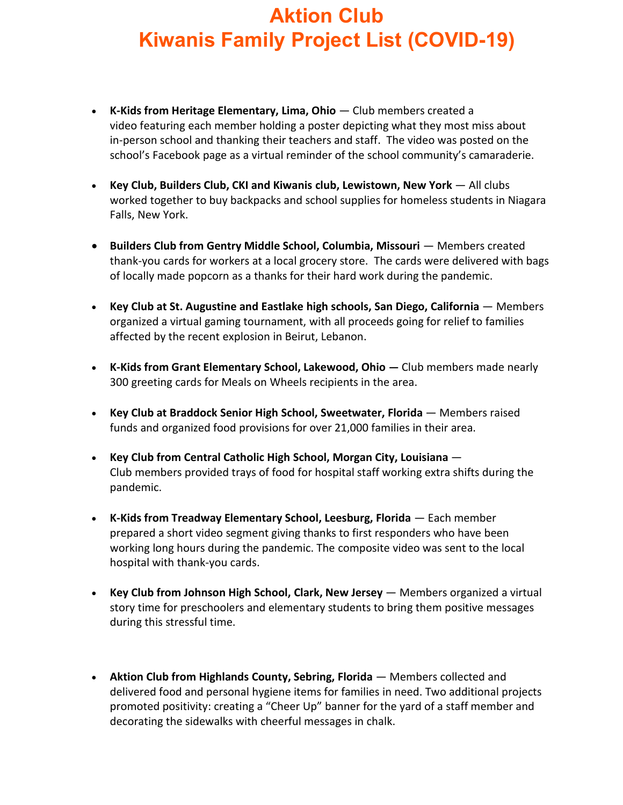## **Aktion Club Kiwanis Family Project List (COVID-19)**

- **K-Kids from Heritage Elementary, Lima, Ohio** Club members created a video featuring each member holding a poster depicting what they most miss about in-person school and thanking their teachers and staff. The video was posted on the school's Facebook page as a virtual reminder of the school community's camaraderie.
- **Key Club, Builders Club, CKI and Kiwanis club, Lewistown, New York** All clubs worked together to buy backpacks and school supplies for homeless students in Niagara Falls, New York.
- Builders Club from Gentry Middle School, Columbia, Missouri Members created thank-you cards for workers at a local grocery store. The cards were delivered with bags of locally made popcorn as a thanks for their hard work during the pandemic.
- **Key Club at St. Augustine and Eastlake high schools, San Diego, California** Members organized a virtual gaming tournament, with all proceeds going for relief to families affected by the recent explosion in Beirut, Lebanon.
- **K-Kids from Grant Elementary School, Lakewood, Ohio —** Club members made nearly 300 greeting cards for Meals on Wheels recipients in the area.
- **Key Club at Braddock Senior High School, Sweetwater, Florida**  Members raised funds and organized food provisions for over 21,000 families in their area.
- **Key Club from Central Catholic High School, Morgan City, Louisiana** Club members provided trays of food for hospital staff working extra shifts during the pandemic.
- **K-Kids from Treadway Elementary School, Leesburg, Florida**  Each member prepared a short video segment giving thanks to first responders who have been working long hours during the pandemic. The composite video was sent to the local hospital with thank-you cards.
- **Key Club from Johnson High School, Clark, New Jersey** Members organized a virtual story time for preschoolers and elementary students to bring them positive messages during this stressful time.
- **Aktion Club from Highlands County, Sebring, Florida** Members collected and delivered food and personal hygiene items for families in need. Two additional projects promoted positivity: creating a "Cheer Up" banner for the yard of a staff member and decorating the sidewalks with cheerful messages in chalk.